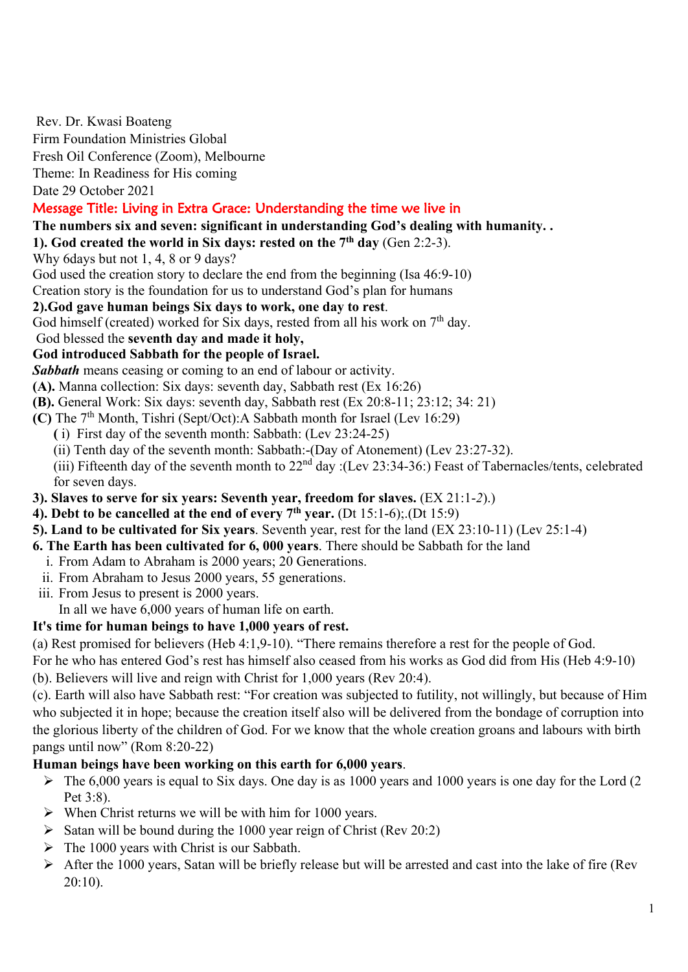Rev. Dr. Kwasi Boateng

Firm Foundation Ministries Global

Fresh Oil Conference (Zoom), Melbourne

Theme: In Readiness for His coming

Date 29 October 2021

# Message Title: Living in Extra Grace: Understanding the time we live in

- **The numbers six and seven: significant in understanding God's dealing with humanity. .**
- **1). God created the world in Six days: rested on the 7th day** (Gen 2:2-3).

Why 6days but not 1, 4, 8 or 9 days?

God used the creation story to declare the end from the beginning (Isa 46:9-10)

Creation story is the foundation for us to understand God's plan for humans

#### **2).God gave human beings Six days to work, one day to rest**.

God himself (created) worked for Six days, rested from all his work on  $7<sup>th</sup>$  day.

God blessed the **seventh day and made it holy,**

## **God introduced Sabbath for the people of Israel.**

*Sabbath* means ceasing or coming to an end of labour or activity.

- **(A).** Manna collection: Six days: seventh day, Sabbath rest (Ex 16:26)
- **(B).** General Work: Six days: seventh day, Sabbath rest (Ex 20:8-11; 23:12; 34: 21)
- **(C)** The 7th Month, Tishri (Sept/Oct):A Sabbath month for Israel (Lev 16:29)
	- **(** i) First day of the seventh month: Sabbath: (Lev 23:24-25)
		- (ii) Tenth day of the seventh month: Sabbath:-(Day of Atonement) (Lev 23:27-32).

(iii) Fifteenth day of the seventh month to  $22<sup>nd</sup>$  day :(Lev 23:34-36:) Feast of Tabernacles/tents, celebrated for seven days.

- **3). Slaves to serve for six years: Seventh year, freedom for slaves.** (EX 21:1-*2*).)
- **4). Debt to be cancelled at the end of every 7th year.** (Dt 15:1-6);.(Dt 15:9)
- **5). Land to be cultivated for Six years**. Seventh year, rest for the land (EX 23:10-11) (Lev 25:1-4)
- **6. The Earth has been cultivated for 6, 000 years**. There should be Sabbath for the land
- i. From Adam to Abraham is 2000 years; 20 Generations.
- ii. From Abraham to Jesus 2000 years, 55 generations.
- iii. From Jesus to present is 2000 years.

In all we have 6,000 years of human life on earth.

## **It's time for human beings to have 1,000 years of rest.**

(a) Rest promised for believers (Heb 4:1,9-10). "There remains therefore a rest for the people of God.

For he who has entered God's rest has himself also ceased from his works as God did from His (Heb 4:9-10)

(b). Believers will live and reign with Christ for 1,000 years (Rev 20:4).

(c). Earth will also have Sabbath rest: "For creation was subjected to futility, not willingly, but because of Him who subjected it in hope; because the creation itself also will be delivered from the bondage of corruption into the glorious liberty of the children of God. For we know that the whole creation groans and labours with birth pangs until now" (Rom 8:20-22)

## **Human beings have been working on this earth for 6,000 years**.

- $\triangleright$  The 6,000 years is equal to Six days. One day is as 1000 years and 1000 years is one day for the Lord (2) Pet 3:8).
- $\triangleright$  When Christ returns we will be with him for 1000 years.
- $\triangleright$  Satan will be bound during the 1000 year reign of Christ (Rev 20:2)
- $\triangleright$  The 1000 years with Christ is our Sabbath.
- $\triangleright$  After the 1000 years, Satan will be briefly release but will be arrested and cast into the lake of fire (Rev  $20:10$ ).